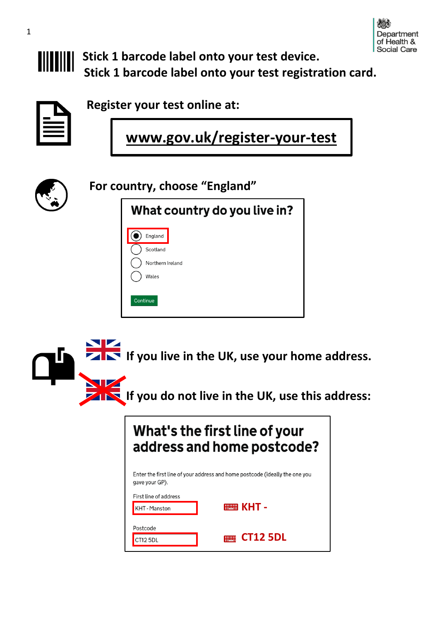

**Stick 1 barcode label onto your test device. Stick 1 barcode label onto your test registration card.**

**Register your test online at:**

**www.gov.uk/register-your-test**



**For country, choose "England"**

| What country do you live in?                     |
|--------------------------------------------------|
| England<br>Scotland<br>Northern Ireland<br>Wales |
| Continue                                         |

 **If you live in the UK, use your home address. If you do not live in the UK, use this address:**

## What's the first line of your address and home postcode?

Enter the first line of your address and home postcode (ideally the one you gave your GP).

|  | First line of address |  |
|--|-----------------------|--|
|  |                       |  |

| <b>KHT</b> - Manston | $\mathbb{R}$ KHT - |
|----------------------|--------------------|
| Postcode             |                    |
| CT12 5DL             | $\equiv$ CT12 5DL  |